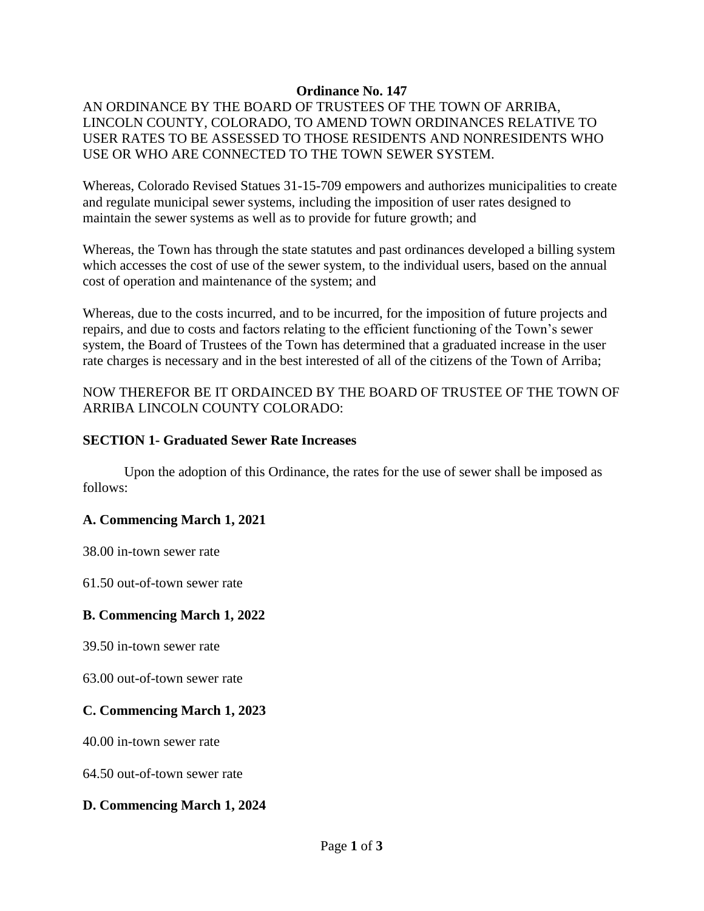### **Ordinance No. 147**

# AN ORDINANCE BY THE BOARD OF TRUSTEES OF THE TOWN OF ARRIBA, LINCOLN COUNTY, COLORADO, TO AMEND TOWN ORDINANCES RELATIVE TO USER RATES TO BE ASSESSED TO THOSE RESIDENTS AND NONRESIDENTS WHO USE OR WHO ARE CONNECTED TO THE TOWN SEWER SYSTEM.

Whereas, Colorado Revised Statues 31-15-709 empowers and authorizes municipalities to create and regulate municipal sewer systems, including the imposition of user rates designed to maintain the sewer systems as well as to provide for future growth; and

Whereas, the Town has through the state statutes and past ordinances developed a billing system which accesses the cost of use of the sewer system, to the individual users, based on the annual cost of operation and maintenance of the system; and

Whereas, due to the costs incurred, and to be incurred, for the imposition of future projects and repairs, and due to costs and factors relating to the efficient functioning of the Town's sewer system, the Board of Trustees of the Town has determined that a graduated increase in the user rate charges is necessary and in the best interested of all of the citizens of the Town of Arriba;

# NOW THEREFOR BE IT ORDAINCED BY THE BOARD OF TRUSTEE OF THE TOWN OF ARRIBA LINCOLN COUNTY COLORADO:

### **SECTION 1- Graduated Sewer Rate Increases**

Upon the adoption of this Ordinance, the rates for the use of sewer shall be imposed as follows:

#### **A. Commencing March 1, 2021**

38.00 in-town sewer rate

61.50 out-of-town sewer rate

#### **B. Commencing March 1, 2022**

39.50 in-town sewer rate

63.00 out-of-town sewer rate

# **C. Commencing March 1, 2023**

40.00 in-town sewer rate

64.50 out-of-town sewer rate

# **D. Commencing March 1, 2024**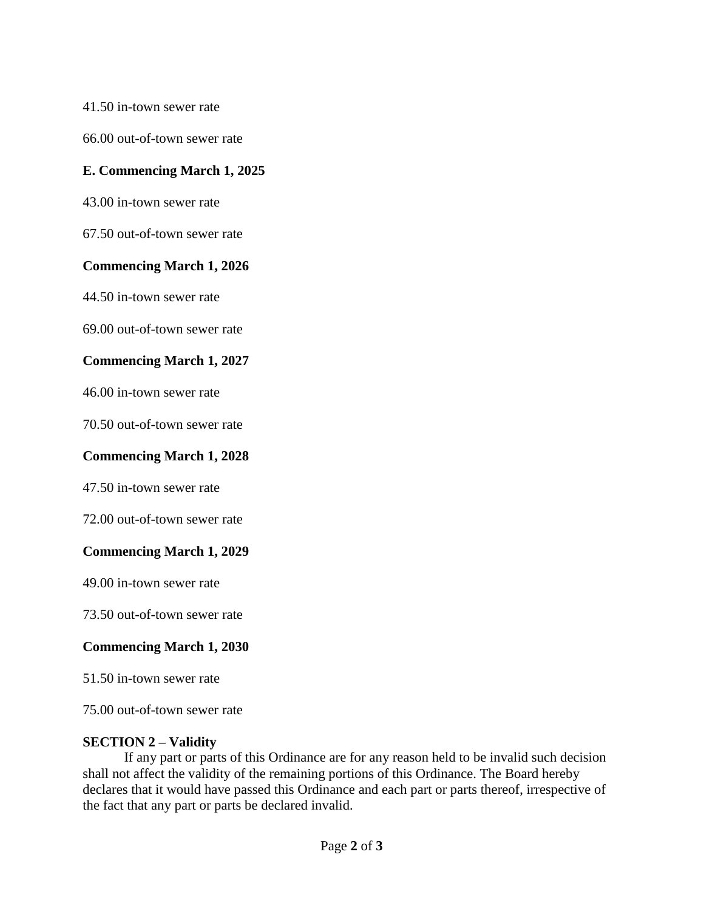41.50 in-town sewer rate

66.00 out-of-town sewer rate

### **E. Commencing March 1, 2025**

43.00 in-town sewer rate

67.50 out-of-town sewer rate

#### **Commencing March 1, 2026**

44.50 in-town sewer rate

69.00 out-of-town sewer rate

#### **Commencing March 1, 2027**

46.00 in-town sewer rate

70.50 out-of-town sewer rate

#### **Commencing March 1, 2028**

47.50 in-town sewer rate

72.00 out-of-town sewer rate

#### **Commencing March 1, 2029**

49.00 in-town sewer rate

73.50 out-of-town sewer rate

#### **Commencing March 1, 2030**

51.50 in-town sewer rate

75.00 out-of-town sewer rate

#### **SECTION 2 – Validity**

If any part or parts of this Ordinance are for any reason held to be invalid such decision shall not affect the validity of the remaining portions of this Ordinance. The Board hereby declares that it would have passed this Ordinance and each part or parts thereof, irrespective of the fact that any part or parts be declared invalid.